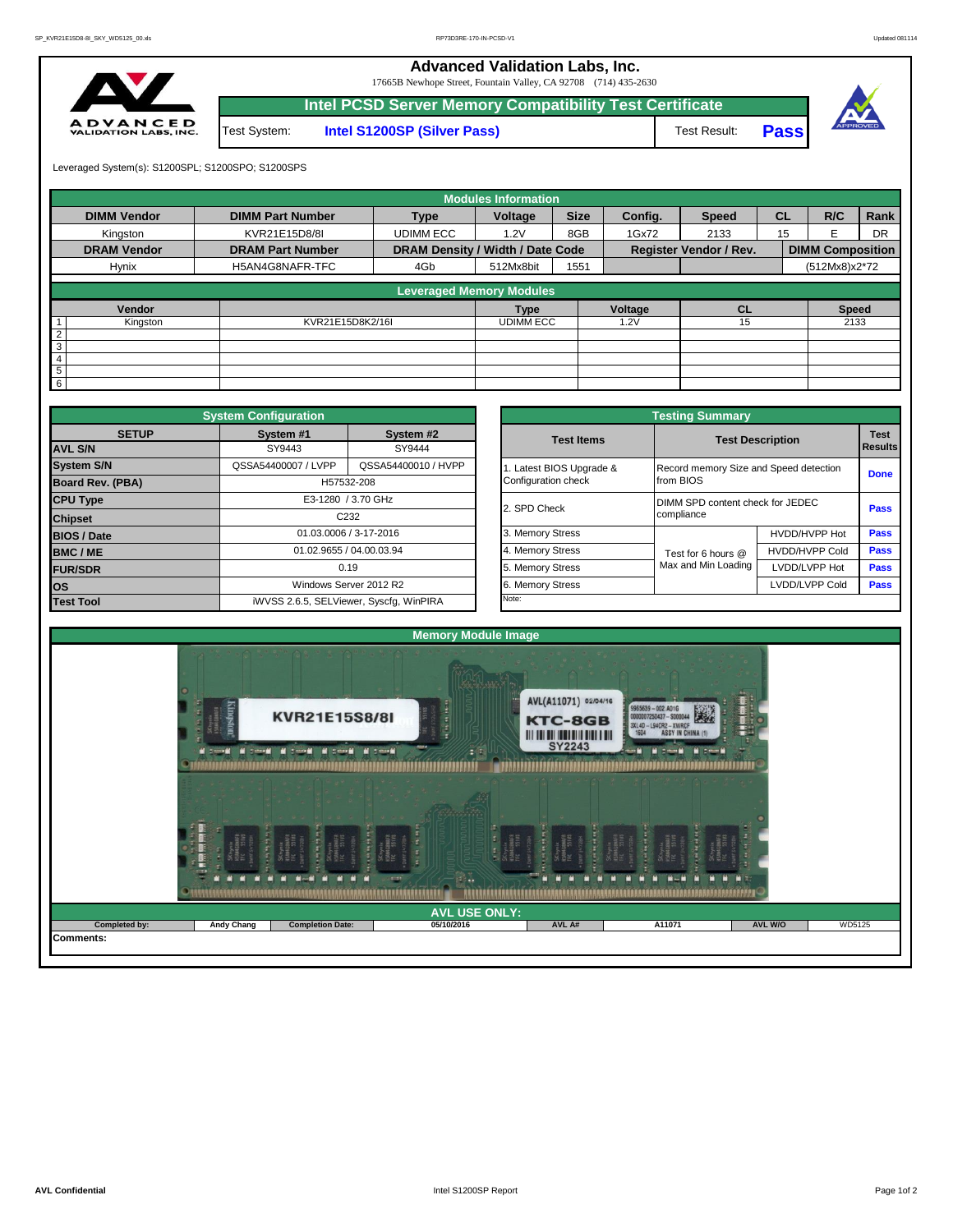**ADVAN** 

|                  |              | <b>Advanced Validation Labs, Inc.</b><br>17665B Newhope Street, Fountain Valley, CA 92708 (714) 435-2630 |              |      |          |
|------------------|--------------|----------------------------------------------------------------------------------------------------------|--------------|------|----------|
|                  |              | <b>Intel PCSD Server Memory Compatibility Test Certificate</b>                                           |              |      |          |
| CED<br>ABS, INC. | Test System: | Intel S1200SP (Silver Pass)                                                                              | Test Result: | Pass | APPROVED |

Leveraged System(s): S1200SPL; S1200SPO; S1200SPS

|                    |                         |                                  | <b>Modules Information</b> |             |               |                               |           |                         |           |
|--------------------|-------------------------|----------------------------------|----------------------------|-------------|---------------|-------------------------------|-----------|-------------------------|-----------|
| <b>DIMM Vendor</b> | <b>DIMM Part Number</b> | <b>Type</b>                      | Voltage                    | <b>Size</b> | Config.       | <b>Speed</b>                  | <b>CL</b> | R/C                     | Rank      |
| Kingston           | KVR21E15D8/8I           | <b>UDIMM ECC</b>                 | 1.2V                       | 8GB         | 1Gx72         | 2133                          | 15        |                         | <b>DR</b> |
| <b>DRAM Vendor</b> | <b>DRAM Part Number</b> | DRAM Density / Width / Date Code |                            |             |               | <b>Register Vendor / Rev.</b> |           | <b>DIMM Composition</b> |           |
| Hynix              | H5AN4G8NAFR-TFC         | 4Gb                              | 512Mx8bit                  | 1551        |               |                               |           | (512Mx8)x2*72           |           |
|                    |                         |                                  |                            |             |               |                               |           |                         |           |
|                    |                         | <b>Leveraged Memory Modules</b>  |                            |             |               |                               |           |                         |           |
| Vendor             |                         |                                  | <b>Type</b>                |             | Voltage<br>CL |                               |           | <b>Speed</b>            |           |
| Kingston           | KVR21E15D8K2/16I        |                                  | <b>UDIMM ECC</b>           |             | 1.2V          | 15                            |           | 2133                    |           |
| $\overline{2}$     |                         |                                  |                            |             |               |                               |           |                         |           |
| 3                  |                         |                                  |                            |             |               |                               |           |                         |           |
| $\overline{4}$     |                         |                                  |                            |             |               |                               |           |                         |           |
| 5                  |                         |                                  |                            |             |               |                               |           |                         |           |
| $6\overline{6}$    |                         |                                  |                            |             |               |                               |           |                         |           |

|                         | <b>System Configuration</b> |                                         |                         |                       | <b>Testing Summary</b>                 |                       |             |  |
|-------------------------|-----------------------------|-----------------------------------------|-------------------------|-----------------------|----------------------------------------|-----------------------|-------------|--|
| <b>SETUP</b>            | System #1                   | System #2                               |                         | <b>Test Items</b>     |                                        |                       | <b>Test</b> |  |
| <b>AVL S/N</b>          | SY9443                      |                                         | <b>Test Description</b> |                       |                                        |                       |             |  |
| <b>System S/N</b>       | QSSA54400007 / LVPP         | QSSA54400010 / HVPP                     |                         | Latest BIOS Upgrade & | Record memory Size and Speed detection |                       | <b>Done</b> |  |
| <b>Board Rev. (PBA)</b> |                             | H57532-208                              |                         | Configuration check   | from BIOS                              |                       |             |  |
| <b>CPU Type</b>         |                             | E3-1280 / 3.70 GHz                      |                         | 2. SPD Check          | DIMM SPD content check for JEDEC       |                       | <b>Pass</b> |  |
| <b>Chipset</b>          |                             | C <sub>232</sub>                        |                         |                       | compliance                             |                       |             |  |
| <b>BIOS / Date</b>      |                             | 01.03.0006 / 3-17-2016                  |                         | 3. Memory Stress      |                                        | HVDD/HVPP Hot         | <b>Pass</b> |  |
| <b>BMC/ME</b>           |                             | 01.02.9655 / 04.00.03.94                |                         | 4. Memory Stress      | Test for 6 hours @                     | <b>HVDD/HVPP Cold</b> | Pass        |  |
| <b>FUR/SDR</b>          |                             | 0.19                                    |                         | 5. Memory Stress      | Max and Min Loading                    | LVDD/LVPP Hot         | Pass        |  |
| los                     | Windows Server 2012 R2      |                                         |                         | 6. Memory Stress      |                                        | LVDD/LVPP Cold        | Pass        |  |
| <b>Test Tool</b>        |                             | iWVSS 2.6.5, SELViewer, Syscfq, WinPIRA |                         | Note:                 |                                        |                       |             |  |

|              | <b>System Configuration</b>             |                          |                       | <b>Testing Summary</b>                 |                       |                                                                                      |  |  |
|--------------|-----------------------------------------|--------------------------|-----------------------|----------------------------------------|-----------------------|--------------------------------------------------------------------------------------|--|--|
| <b>SETUP</b> | System #1                               | System #2                | <b>Test Items</b>     | <b>Test Description</b>                |                       |                                                                                      |  |  |
|              | SY9443                                  | SY9444                   |                       |                                        |                       |                                                                                      |  |  |
|              | QSSA54400007 / LVPP                     | QSSA54400010 / HVPP      | Latest BIOS Upgrade & | Record memory Size and Speed detection |                       | <b>Test</b><br><b>Results</b><br><b>Done</b><br>Pass<br>Pass<br>Pass<br>Pass<br>Pass |  |  |
| PBA)         |                                         | H57532-208               | Configuration check   | from BIOS                              |                       |                                                                                      |  |  |
|              |                                         | E3-1280 / 3.70 GHz       |                       | DIMM SPD content check for JEDEC       |                       |                                                                                      |  |  |
|              | C <sub>232</sub>                        |                          | 2. SPD Check          | compliance                             |                       |                                                                                      |  |  |
|              |                                         | 01.03.0006 / 3-17-2016   | 3. Memory Stress      |                                        | HVDD/HVPP Hot         |                                                                                      |  |  |
|              |                                         | 01.02.9655 / 04.00.03.94 | 4. Memory Stress      | Test for 6 hours @                     | <b>HVDD/HVPP Cold</b> |                                                                                      |  |  |
|              |                                         | 0.19                     | 5. Memory Stress      | Max and Min Loading                    | LVDD/LVPP Hot         |                                                                                      |  |  |
|              |                                         | Windows Server 2012 R2   | 6. Memory Stress      |                                        | LVDD/LVPP Cold        |                                                                                      |  |  |
|              | iWVSS 2.6.5, SELViewer, Syscfg, WinPIRA |                          | Note:                 |                                        |                       |                                                                                      |  |  |